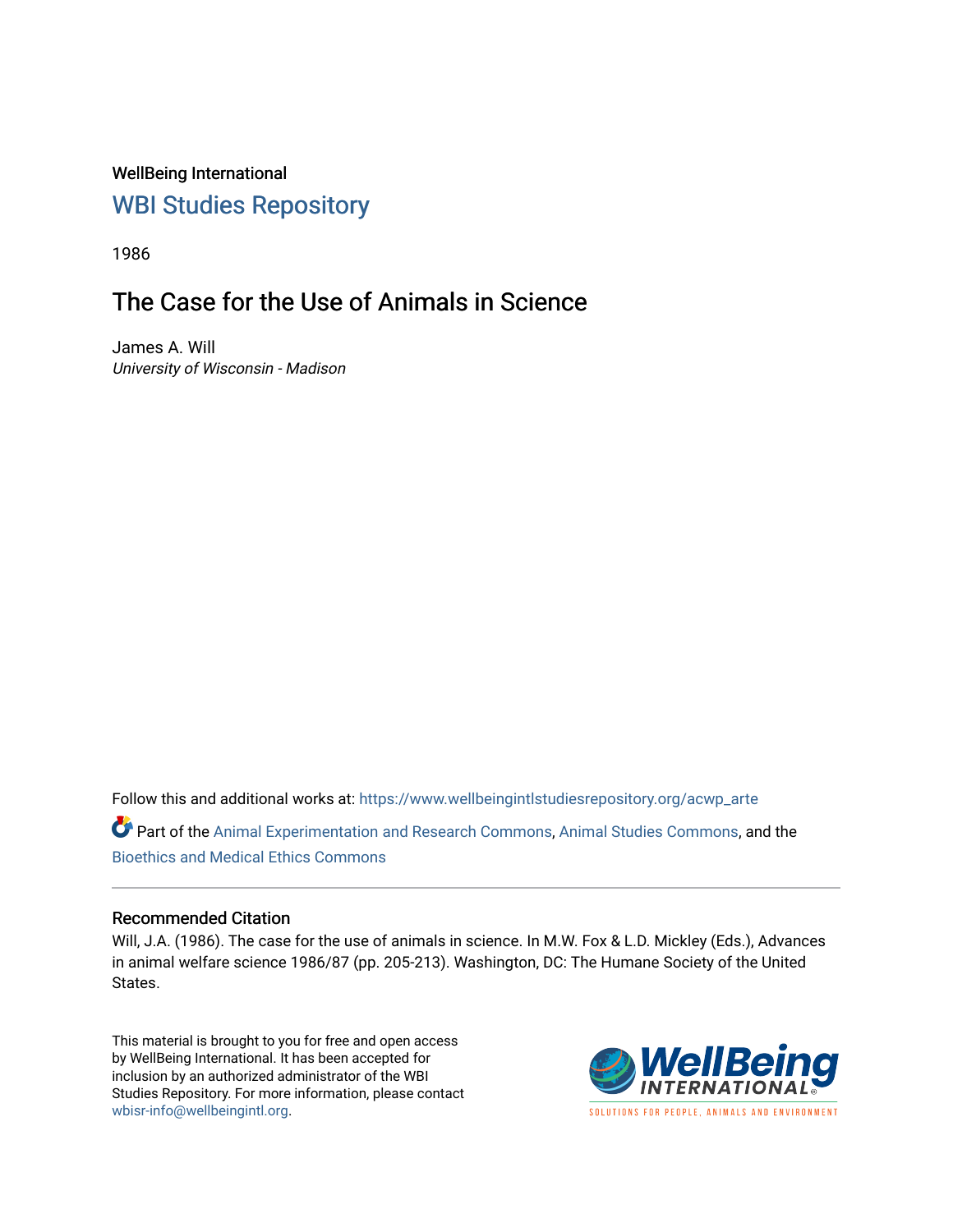WellBeing International [WBI Studies Repository](https://www.wellbeingintlstudiesrepository.org/)

1986

# The Case for the Use of Animals in Science

James A. Will University of Wisconsin - Madison

Follow this and additional works at: [https://www.wellbeingintlstudiesrepository.org/acwp\\_arte](https://www.wellbeingintlstudiesrepository.org/acwp_arte?utm_source=www.wellbeingintlstudiesrepository.org%2Facwp_arte%2F14&utm_medium=PDF&utm_campaign=PDFCoverPages) Part of the [Animal Experimentation and Research Commons,](http://network.bepress.com/hgg/discipline/1390?utm_source=www.wellbeingintlstudiesrepository.org%2Facwp_arte%2F14&utm_medium=PDF&utm_campaign=PDFCoverPages) [Animal Studies Commons,](http://network.bepress.com/hgg/discipline/1306?utm_source=www.wellbeingintlstudiesrepository.org%2Facwp_arte%2F14&utm_medium=PDF&utm_campaign=PDFCoverPages) and the [Bioethics and Medical Ethics Commons](http://network.bepress.com/hgg/discipline/650?utm_source=www.wellbeingintlstudiesrepository.org%2Facwp_arte%2F14&utm_medium=PDF&utm_campaign=PDFCoverPages)

## Recommended Citation

Will, J.A. (1986). The case for the use of animals in science. In M.W. Fox & L.D. Mickley (Eds.), Advances in animal welfare science 1986/87 (pp. 205-213). Washington, DC: The Humane Society of the United States.

This material is brought to you for free and open access by WellBeing International. It has been accepted for inclusion by an authorized administrator of the WBI Studies Repository. For more information, please contact [wbisr-info@wellbeingintl.org](mailto:wbisr-info@wellbeingintl.org).



**SOLUTIONS FOR PEOPLE. ANIMALS AND ENVIRONMENT**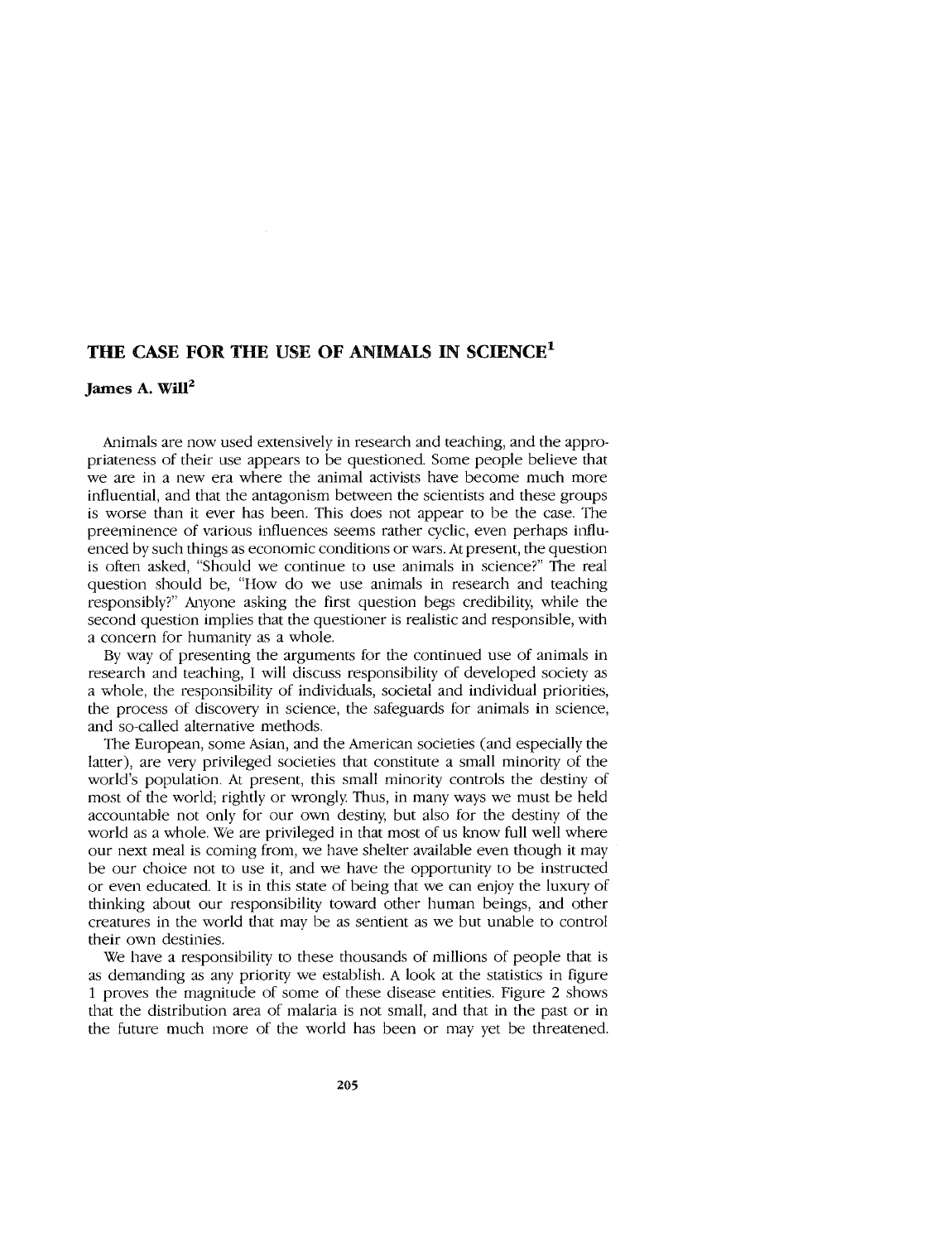## THE CASE FOR THE USE OF ANIMALS IN SCIENCE<sup>1</sup>

### Iames A. Will<sup>2</sup>

Animals are now used extensively in research and teaching, and the appropriateness of their use appears to be questioned. Some people believe that we are in a new era where the animal activists have become much more influential, and that the antagonism between the scientists and these groups is worse than it ever has been. This does not appear to be the case. The preeminence of various influences seems rather cyclic, even perhaps influenced by such things as economic conditions or wars. At present, the question is often asked, "Should we continue to use animals in science?" The real question should be, "How do we use animals in research and teaching responsibly?" Anyone asking the first question begs credibility, while the second question implies that the questioner is realistic and responsible, with a concern for humanity as a whole.

By way of presenting the arguments for the continued use of animals in research and teaching, I will discuss responsibility of developed society as a whole, the responsibility of individuals, societal and individual priorities, the process of discovery in science, the safeguards for animals in science, and so-called alternative methods.

The European, some Asian, and the American societies (and especially the latter), are very privileged societies that constitute a small minority of the world's population. At present, this small minority controls the destiny of most of the world; rightly or wrongly. Thus, in many ways we must be held accountable not only for our own destiny, but also for the destiny of the world as a whole. We are privileged in that most of us know full well where our next meal is coming from, we have shelter available even though it may be our choice not to use it, and we have the opportunity to be instructed or even educated. It is in this state of being that we can enjoy the luxury of thinking about our responsibility toward other human beings, and other creatures in the world that may be as sentient as we but unable to control their own destinies.

We have a responsibility to these thousands of millions of people that is as demanding as any priority we establish. A look at the statistics in figure 1 proves the magnitude of some of these disease entities. Figure 2 shows that the distribution area of malaria is not small, and that in the past or in the future much more of the world has been or may yet be threatened.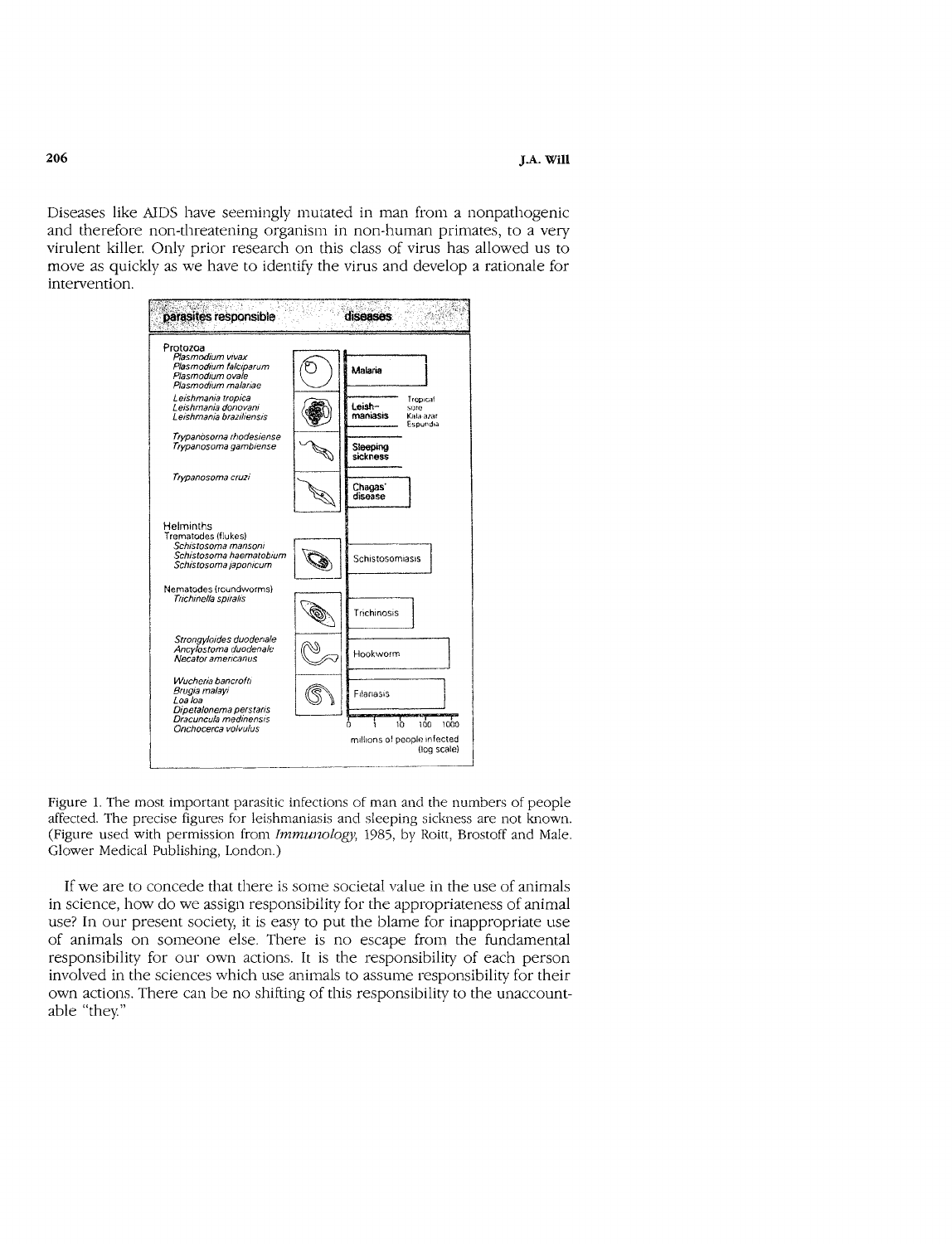Diseases like AIDS have seemingly mutated in man from a nonpathogenic and therefore non-threatening organism in non-human primates, to a very virulent killer. Only prior research on this class of virus has allowed us to move as quickly as we have to identify the virus and develop a rationale for intervention.



Figure 1. The most important parasitic infections of man and the numbers of people affected. The precise figures for leishmaniasis and sleeping sickness are not known. (Figure used with permission from *Immunology,* 1985, by Roitt, Brostoti and Male. Glower Medical Publishing, London.)

If we are to concede that there is some societal value in the use of animals in science, how do we assign responsibility for the appropriateness of animal use? In our present society, it is easy to put the blame for inappropriate use of animals on someone else. There is no escape from the fundamental responsibility for our own actions. It is the responsibility of each person involved in the sciences which use animals to assume responsibility for their own actions. There can be no shifting of this responsibility to the unaccountable "they:"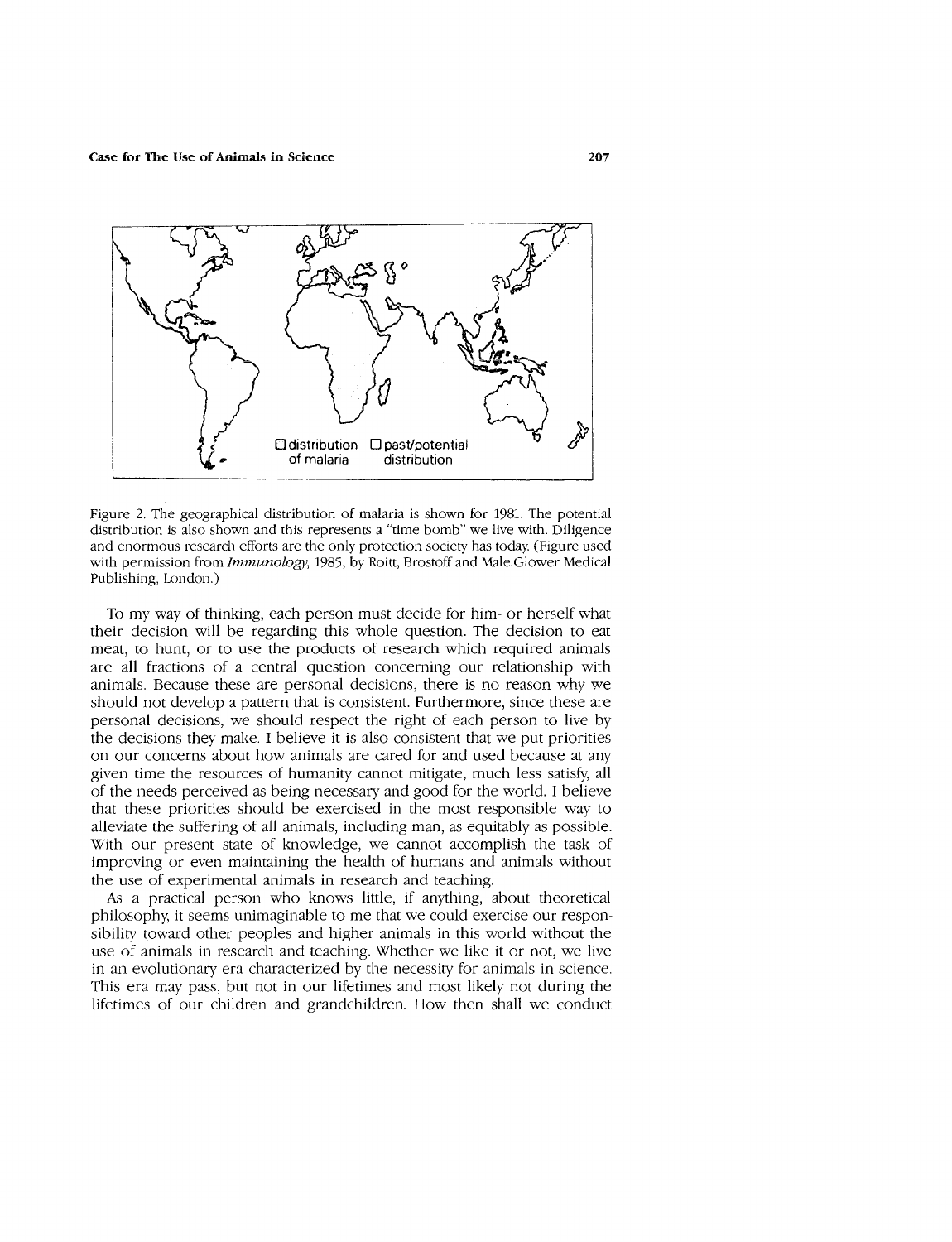

Figure 2. The geographical distribution of malaria is shown for 1981. The potential distribution is also shown and this represents a "time bomb" we live with. Diligence and enormous research efforts are the only protection society has today (Figure used with permission from *Immunology*, 1985, by Roitt, Brostoff and Male. Glower Medical Publishing, London.)

To my way of thinking, each person must decide for him- or herself what their decision will be regarding this whole question. The decision to eat meat, to hunt, or to use the products of research which required animals are all fractions of a central question concerning our relationship with animals. Because these are personal decisions, there is no reason why we should not develop a pattern that is consistent. Furthermore, since these are personal decisions, we should respect the right of each person to live by the decisions they make. I believe it is also consistent that we put priorities on our concerns about how animals are cared for and used because at any given time the resources of humanity cannot mitigate, much less satisfy, all of the needs perceived as being necessary and good for the world. I believe that these priorities should be exercised in the most responsible way to alleviate the suffering of all animals, including man, as equitably as possible. With our present state of knowledge, we cannot accomplish the task of improving or even maintaining the health of humans and animals without the use of experimental animals in research and teaching.

As a practical person who knows little, if anything, about theoretical philosophy, it seems unimaginable to me that we could exercise our responsibility toward other peoples and higher animals in this world without the use of animals in research and teaching. Whether we like it or not, we live in an evolutionary era characterized by the necessity for animals in science. This era may pass, but not in our lifetimes and most likely not during the lifetimes of our children and grandchildren. How then shall we conduct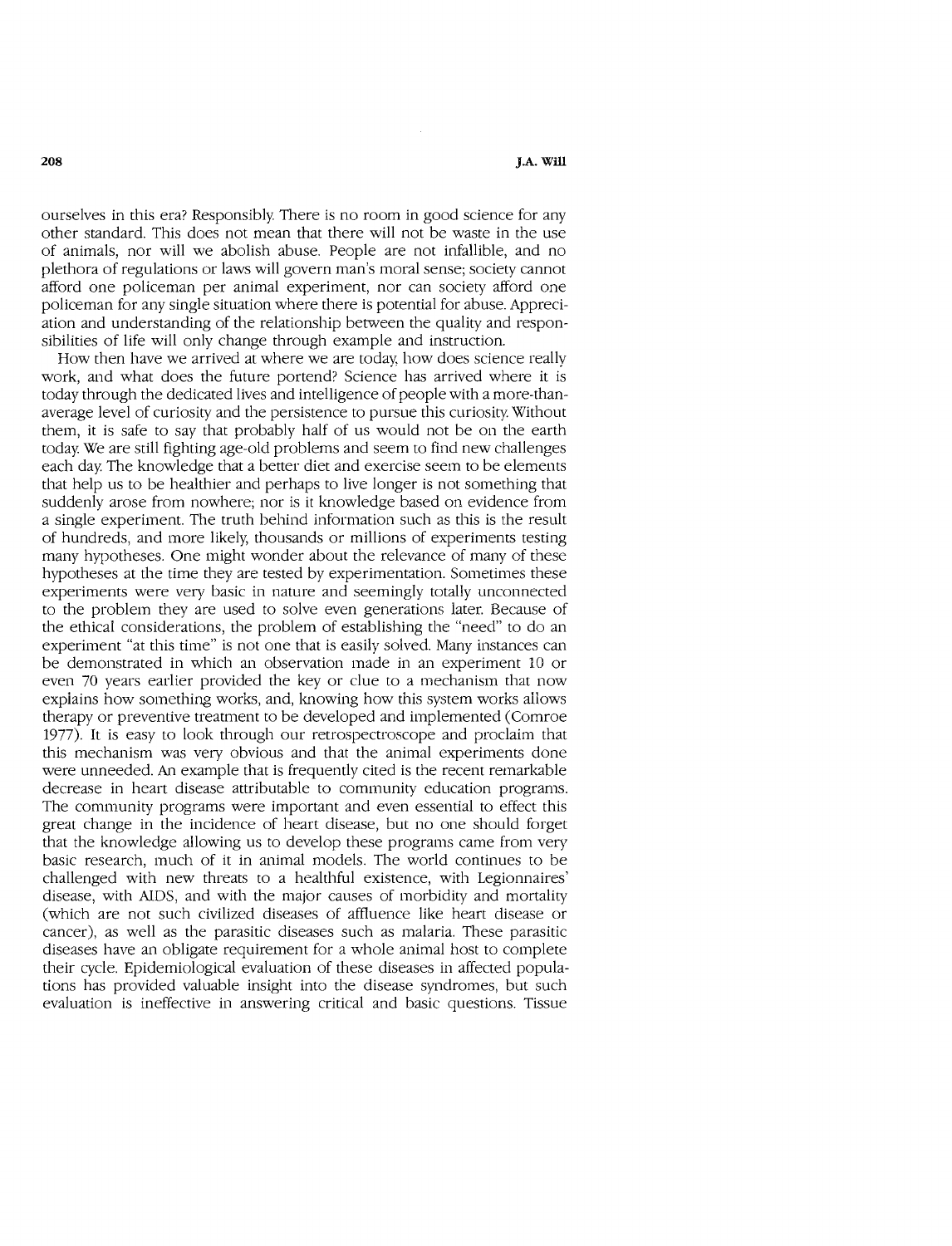ourselves in this era? Responsibly. There is no room in good science for any other standard. This does not mean that there will not be waste in the use of animals, nor will we abolish abuse. People are not infallible, and no plethora of regulations or laws will govern man's moral sense; society cannot afford one policeman per animal experiment, nor can society afford one policeman for any single situation where there is potential for abuse. Appreciation and understanding of the relationship between the quality and responsibilities of life will only change through example and instruction.

How then have we arrived at where we are today, how does science really work, and what does the future portend? Science has arrived where it is today through the dedicated lives and intelligence of people with a more-thanaverage level of curiosity and the persistence to pursue this curiosity. Without them, it is safe to say that probably half of us would not be on the earth today. We are still fighting age-old problems and seem to find new challenges each day. The knowledge that a better diet and exercise seem to be elements that help us to be healthier and perhaps to live longer is not something that suddenly arose from nowhere; nor is it knowledge based on evidence from a single experiment. The truth behind information such as this is the result of hundreds, and more likely, thousands or millions of experiments testing many hypotheses. One might wonder about the relevance of many of these hypotheses at the time they are tested by experimentation. Sometimes these experiments were very basic in nature and seemingly totally unconnected to the problem they are used to solve even generations later. Because of the ethical considerations, the problem of establishing the "need" to do an experiment "at this time" is not one that is easily solved. Many instances can be demonstrated in which an observation made in an experiment 10 or even 70 years earlier provided the key or clue to a mechanism that now explains how something works, and, knowing how this system works allows therapy or preventive treatment to be developed and implemented (Comroe 1977). It is easy to look through our retrospectroscope and proclaim that this mechanism was very obvious and that the animal experiments done were unneeded. An example that is frequently cited is the recent remarkable decrease in heart disease attributable to community education programs. The community programs were important and even essential to effect this great change in the incidence of heart disease, but no one should forget that the knowledge allowing us to develop these programs came from very basic research, much of it in animal models. The world continues to be challenged with new threats to a healthful existence, with Legionnaires' disease, with AIDS, and with the major causes of morbidity and mortality (which are not such civilized diseases of affluence like heart disease or cancer), as well as the parasitic diseases such as malaria. These parasitic diseases have an obligate requirement for a whole animal host to complete their cycle. Epidemiological evaluation of these diseases in affected populations has provided valuable insight into the disease syndromes, but such evaluation is ineffective in answering critical and basic questions. Tissue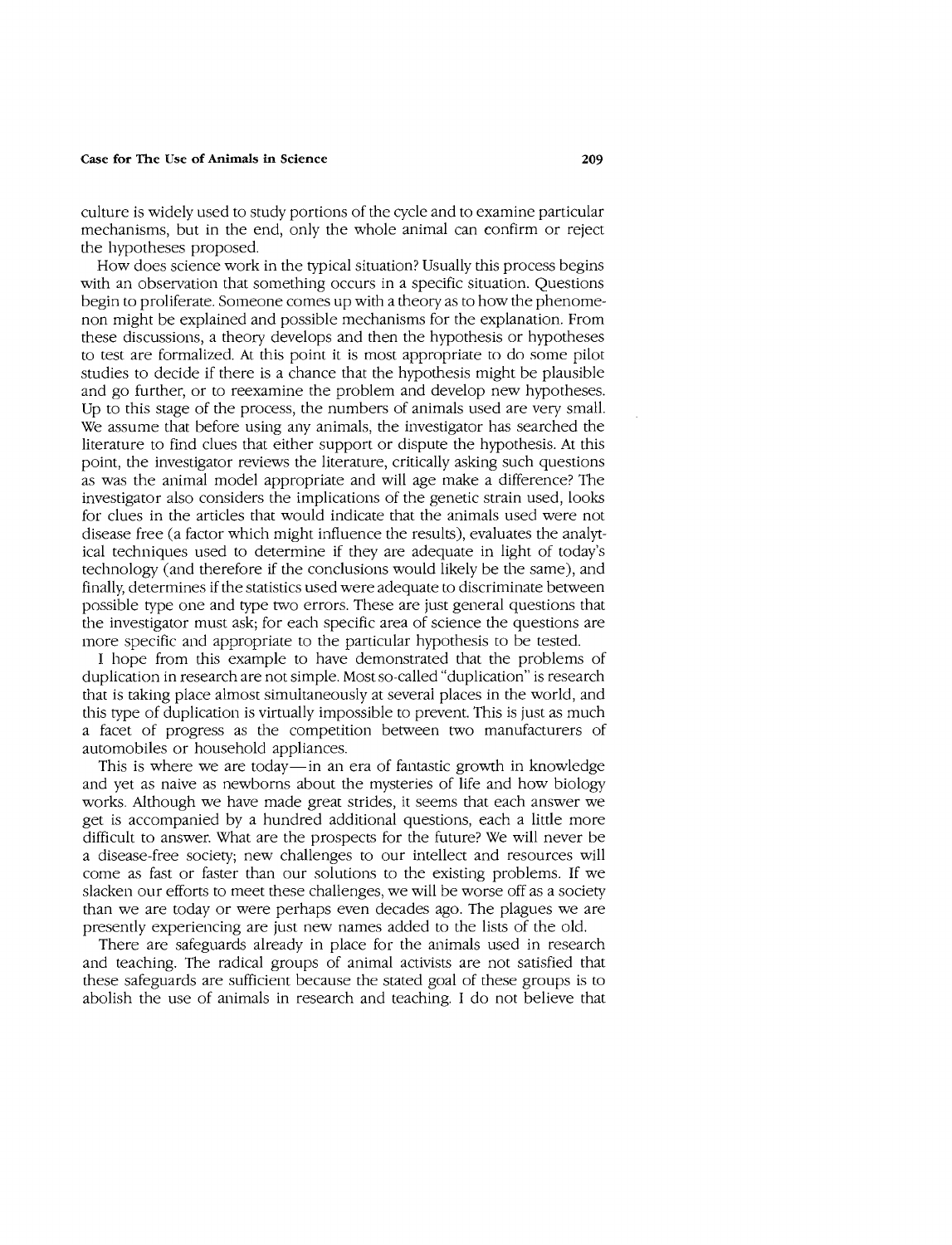#### Case for The Use of Animals in Science 209

culture is widely used to study portions of the cycle and to examine particular mechanisms, but in the end, only the whole animal can confirm or reject the hypotheses proposed.

How does science work in the typical situation? Usually this process begins with an observation that something occurs in a specific situation. Questions begin to proliferate. Someone comes up with a theory as to how the phenomenon might be explained and possible mechanisms for the explanation. From these discussions, a theory develops and then the hypothesis or hypotheses to test are formalized. At this point it is most appropriate to do some pilot studies to decide if there is a chance that the hypothesis might be plausible and go further, or to reexamine the problem and develop new hypotheses. Up to this stage of the process, the numbers of animals used are very small. We assume that before using any animals, the investigator has searched the literature to find clues that either support or dispute the hypothesis. At this point, the investigator reviews the literature, critically asking such questions as was the animal model appropriate and will age make a difference? The investigator also considers the implications of the genetic strain used, looks for clues in the articles that would indicate that the animals used were not disease free (a factor which might influence the results), evaluates the analytical techniques used to determine if they are adequate in light of today's technology (and therefore if the conclusions would likely be the same), and finally, determines if the statistics used were adequate to discriminate between possible type one and type two errors. These are just general questions that the investigator must ask; for each specific area of science the questions are more specific and appropriate to the particular hypothesis to be tested.

I hope from this example to have demonstrated that the problems of duplication in research are not simple. Most so-called "duplication" is research that is taking place almost simultaneously at several places in the world, and this type of duplication is virtually impossible to prevent. This is just as much a facet of progress as the competition between two manufacturers of automobiles or household appliances.

This is where we are today—in an era of fantastic growth in knowledge and yet as naive as newborns about the mysteries of life and how biology works. Although we have made great strides, it seems that each answer we get is accompanied by a hundred additional questions, each a little more difficult to answer. What are the prospects for the future? We will never be a disease-free society; new challenges to our intellect and resources will come as fast or faster than our solutions to the existing problems. If we slacken our efforts to meet these challenges, we will be worse off as a society than we are today or were perhaps even decades ago. The plagues we are presently experiencing are just new names added to the lists of the old.

There are safeguards already in place for the animals used in research and teaching. The radical groups of animal activists are not satisfied that these safeguards are sufficient because the stated goal of these groups is to abolish the use of animals in research and teaching. I do not believe that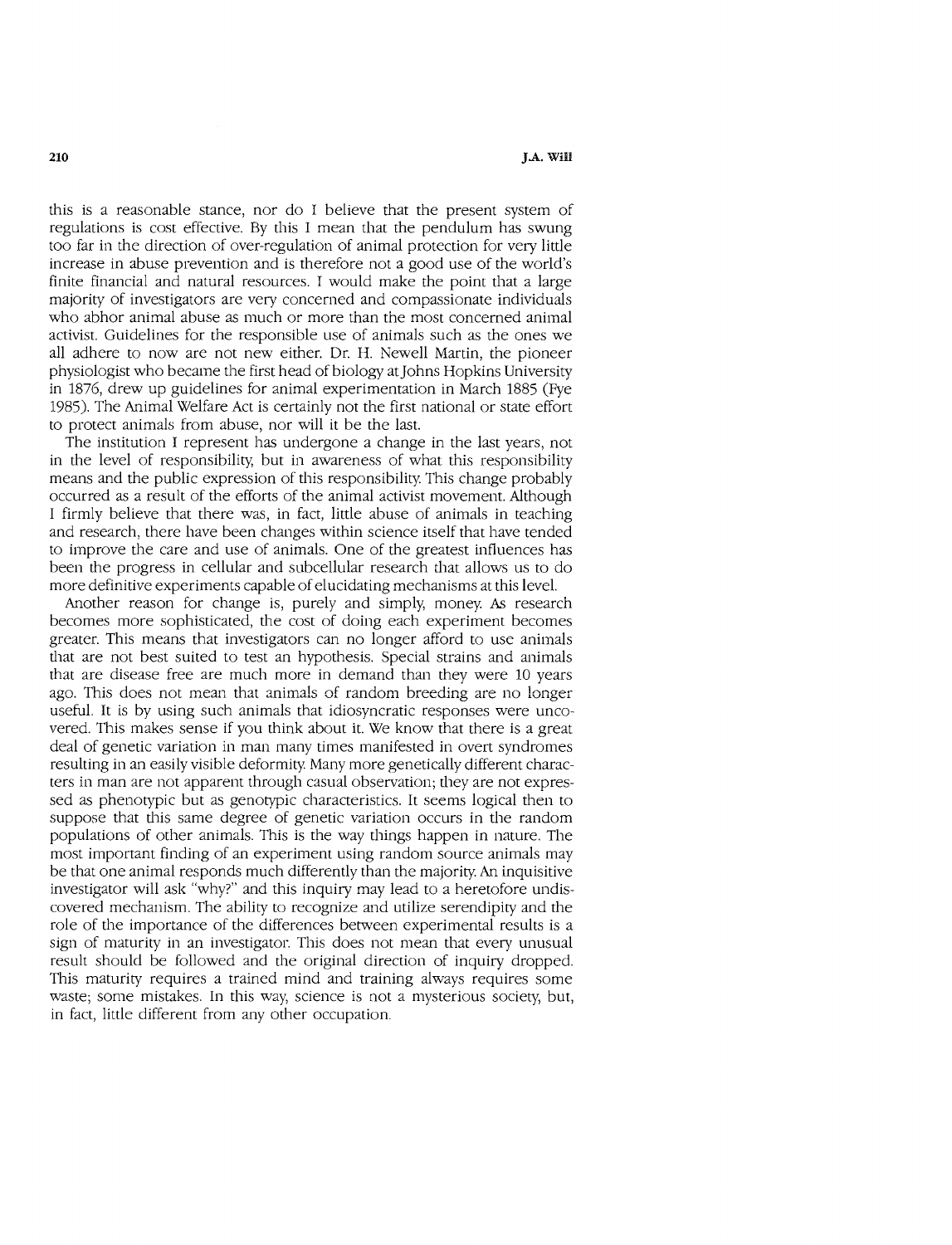this is a reasonable stance, nor do I believe that the present system of regulations is cost effective. By this I mean that the pendulum has swung too far in the direction of over-regulation of animal protection for very little increase in abuse prevention and is therefore not a good use of the world's finite financial and natural resources. I would make the point that a large majority of investigators are very concerned and compassionate individuals who abhor animal abuse as much or more than the most concerned animal activist. Guidelines for the responsible use of animals such as the ones we all adhere to now are not new either. Dr. H. Newell Martin, the pioneer physiologist who became the first head of biology at Johns Hopkins University in 1876, drew up guidelines for animal experimentation in March 1885 (Fye 1985). The Animal Welfare Act is certainly not the first national or state effort to protect animals from abuse, nor will it be the last.

The institution I represent has undergone a change in the last years, not in the level of responsibility, but in awareness of what this responsibility means and the public expression of this responsibility. This change probably occurred as a result of the efforts of the animal activist movement. Although I firmly believe that there was, in fact, little abuse of animals in teaching and research, there have been changes within science itself that have tended to improve the care and use of animals. One of the greatest influences has been the progress in cellular and subcellular research that allows us to do more definitive experiments capable of elucidating mechanisms at this level.

Another reason for change is, purely and simply, money As research becomes more sophisticated, the cost of doing each experiment becomes greater. This means that investigators can no longer afford to use animals that are not best suited to test an hypothesis. Special strains and animals that are disease free are much more in demand than they were 10 years ago. This does not mean that animals of random breeding are no longer useful. It is by using such animals that idiosyncratic responses were uncovered. This makes sense if you think about it. We know that there is a great deal of genetic variation in man many times manifested in overt syndromes resulting in an easily visible deformity Many more genetically different characters in man are not apparent through casual observation; they are not expressed as phenotypic but as genotypic characteristics. It seems logical then to suppose that this same degree of genetic variation occurs in the random populations of other animals. This is the way things happen in nature. The most important finding of an experiment using random source animals may be that one animal responds much differently than the majority An inquisitive investigator will ask "why?" and this inquiry may lead to a heretofore undiscovered mechanism. The ability to recognize and utilize serendipity and the role of the importance of the differences between experimental results is a sign of maturity in an investigator. This does not mean that every unusual result should be followed and the original direction of inquiry dropped. This maturity requires a trained mind and training always requires some waste; some mistakes. In this way, science is not a mysterious society, but, in fact, little different from any other occupation.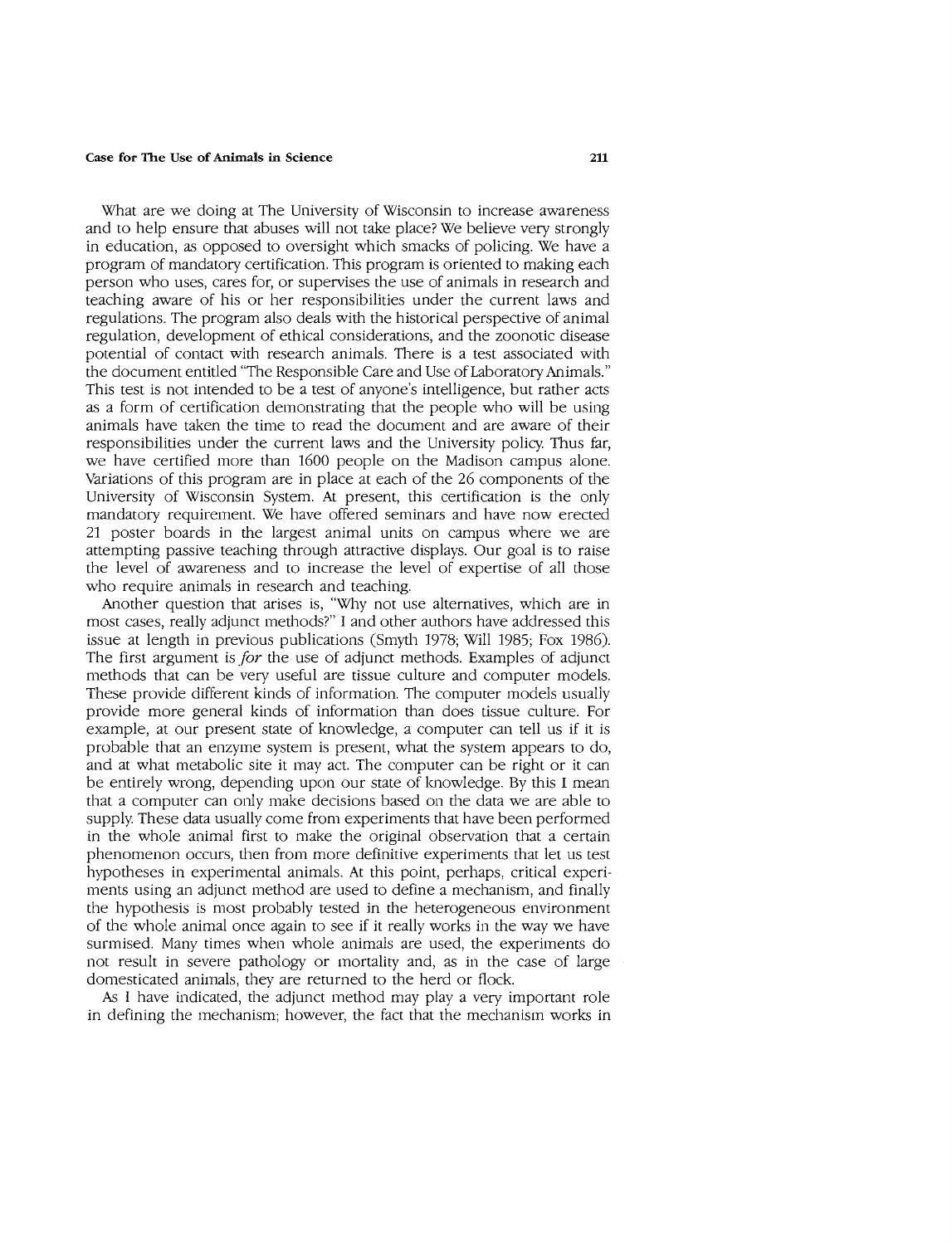#### Case **for** The Use of Animals in Science 211

What are we doing at The University of Wisconsin to increase awareness and to help ensure that abuses will not take place? We believe very strongly in education, as opposed to oversight which smacks of policing. We have a program of mandatory certification. This program is oriented to making each person who uses, cares for, or supervises the use of animals in research and teaching aware of his or her responsibilities under the current laws and regulations. The program also deals with the historical perspective of animal regulation, development of ethical considerations, and the zoonotic disease potential of contact with research animals. There is a test associated with the document entitled "The Responsible Care and Use of Laboratory Animals." This test is not intended to be a test of anyone's intelligence, but rather acts as a form of certification demonstrating that the people who will be using animals have taken the time to read the document and are aware of their responsibilities under the current laws and the University policy Thus far, we have certified more than 1600 people on the Madison campus alone. Variations of this program are in place at each of the 26 components of the University of Wisconsin System. At present, this certification is the only mandatory requirement. We have offered seminars and have now erected 21 poster boards in the largest animal units on campus where we are attempting passive teaching through attractive displays. Our goal is to raise the level of awareness and to increase the level of expertise of all those who require animals in research and teaching.

Another question that arises is, "Why not use alternatives, which are in most cases, really adjunct methods?" I and other authors have addressed this issue at length in previous publications (Smyth 1978; Will 1985; Fox 1986). The first argument is *for* the use of adjunct methods. Examples of adjunct methods that can be very useful are tissue culture and computer models. These provide different kinds of information. The computer models usually provide more general kinds of information than does tissue culture. For example, at our present state of knowledge, a computer can tell us if it is probable that an enzyme system is present, what the system appears to do, and at what metabolic site it may act. The computer can be right or it can be entirely wrong, depending upon our state of knowledge. By this I mean that a computer can only make decisions based on the data we are able to supply These data usually come from experiments that have been performed in the whole animal first to make the original observation that a certain phenomenon occurs, then from more definitive experiments that let us test hypotheses in experimental animals. At this point, perhaps, critical experiments using an adjunct method are used to define a mechanism, and finally the hypothesis is most probably tested in the heterogeneous environment of the whole animal once again to see if it really works in the way we have surmised. Many times when whole animals are used, the experiments do not result in severe pathology or mortality and, as in the case of large domesticated animals, they are returned to the herd or flock

As I have indicated, the adjunct method may play a very important role in defining the mechanism; however, the fact that the mechanism works in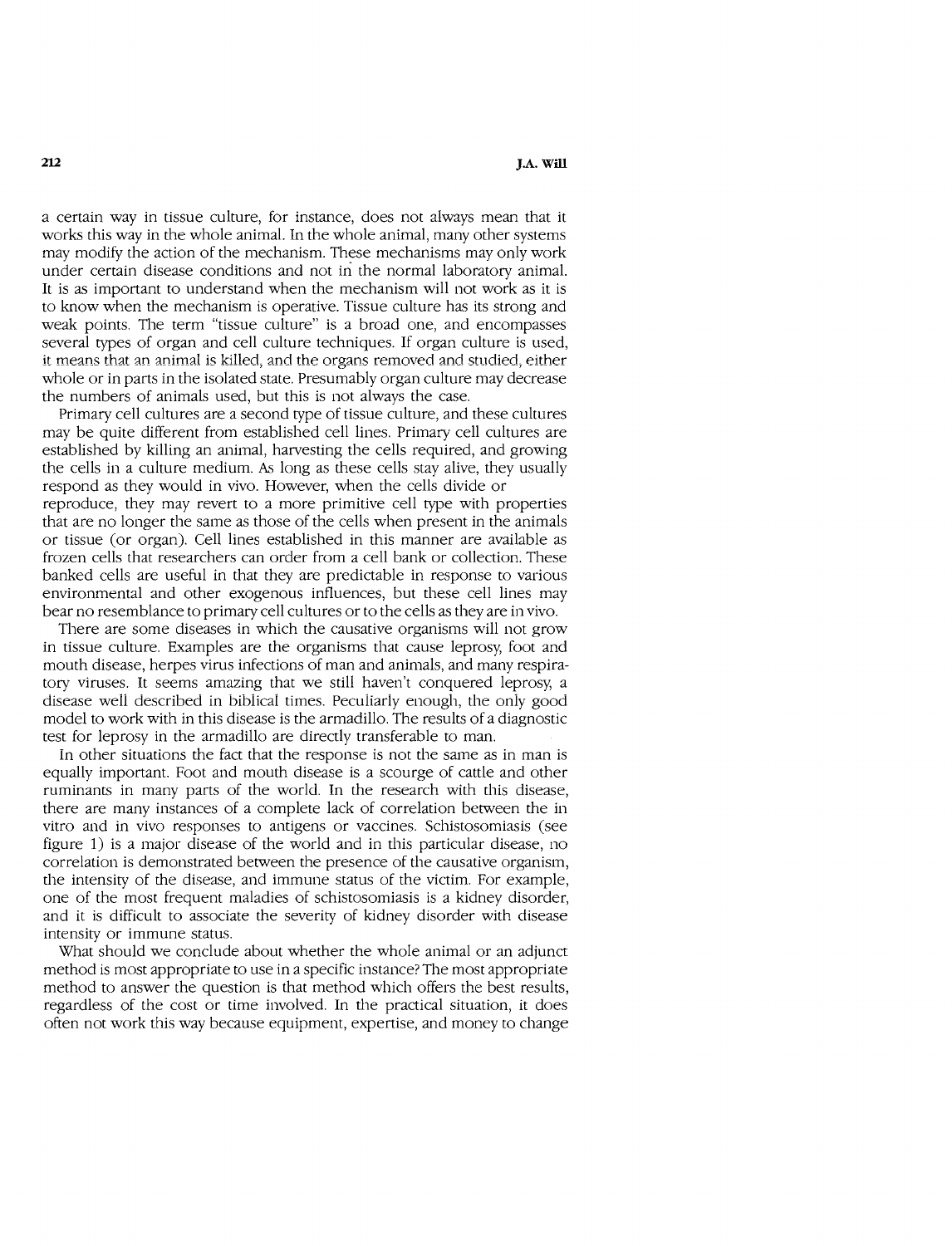a certain way in tissue culture, for instance, does not always mean that it works this way in the whole animal. In the whole animal, many other systems may modify the action of the mechanism. These mechanisms may only work under certain disease conditions and not iri the normal laboratory animal. It is as important to understand when the mechanism will not work as it is to know when the mechanism is operative. Tissue culture has its strong and weak points. The term "tissue culture" is a broad one, and encompasses several types of organ and cell culture techniques. If organ culture is used, it means that an animal is killed, and the organs removed and studied, either whole or in parts in the isolated state. Presumably organ culture may decrease the numbers of animals used, but this is not always the case.

Primary cell cultures are a second type of tissue culture, and these cultures may be quite different from established cell lines. Primary cell cultures are established by killing an animal, harvesting the cells required, and growing the cells in a culture medium. *As* long as these cells stay alive, they usually respond as they would in vivo. However, when the cells divide or reproduce, they may revert to a more primitive cell type with properties that are no longer the same as those of the cells when present in the animals or tissue (or organ). Cell lines established in this manner are available as frozen cells that researchers can order from a cell bank or collection. These banked cells are useful in that they are predictable in response to various environmental and other exogenous influences, but these cell lines may bear no resemblance to primary cell cultures or to the cells as they are in vivo.

There are some diseases in which the causative organisms will not grow in tissue culture. Examples are the organisms that cause leprosy, foot and mouth disease, herpes virus infections of man and animals, and many respiratory viruses. It seems amazing that we still haven't conquered leprosy, a disease well described in biblical times. Peculiarly enough, the only good model to work with in this disease is the armadillo. The results of a diagnostic test for leprosy in the armadillo are directly transferable to man.

In other situations the fact that the response is not the same as in man is equally important. Foot and mouth disease is a scourge of cattle and other ruminants in many parts of the world. In the research with this disease, there are many instances of a complete lack of correlation between the in vitro and in vivo responses to antigens or vaccines. Schistosomiasis (see figure 1) is a major disease of the world and in this particular disease, no correlation is demonstrated between the presence of the causative organism, the intensity of the disease, and immune status of the victim. For example, one of the most frequent maladies of schistosomiasis is a kidney disorder, and it is difficult to associate the severity of kidney disorder with disease intensity or immune status.

What should we conclude about whether the whole animal or an adjunct method is most appropriate to use in a specific instance? The most appropriate method to answer the question is that method which offers the best results, regardless of the cost or time involved. In the practical situation, it does often not work this way because equipment, expertise, and money to change